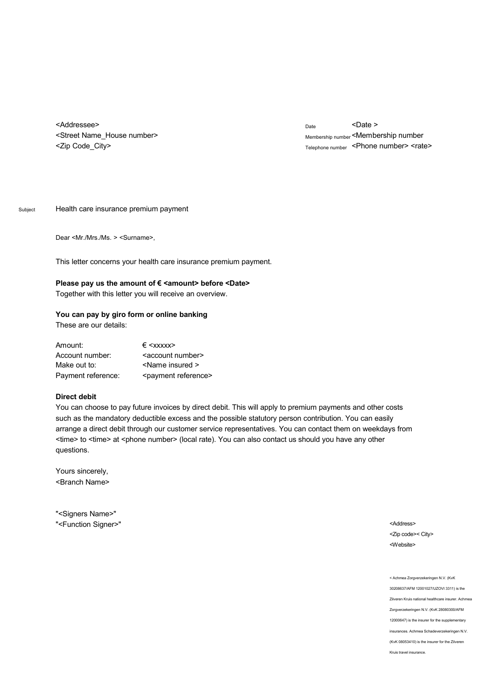<Addressee> <Street Name\_House number> <Zip Code\_City>

Date <Date > Membership number <Membership number Telephone number <Phone number> <rate>

Subject Health care insurance premium payment

Dear <Mr./Mrs./Ms. > <Surname>,

This letter concerns your health care insurance premium payment.

## Please pay us the amount of € <amount> before <Date>

Together with this letter you will receive an overview.

## **You can pay by giro form or online banking**

These are our details:

| Amount:            | $\xi$ <xxxxx></xxxxx>            |  |  |
|--------------------|----------------------------------|--|--|
| Account number:    | <account number=""></account>    |  |  |
| Make out to:       | <name insured=""></name>         |  |  |
| Payment reference: | <payment reference=""></payment> |  |  |

## **Direct debit**

You can choose to pay future invoices by direct debit. This will apply to premium payments and other costs such as the mandatory deductible excess and the possible statutory person contribution. You can easily arrange a direct debit through our customer service representatives. You can contact them on weekdays from <time> to <time> at <phone number> (local rate). You can also contact us should you have any other questions.

Yours sincerely, <Branch Name>

"<Signers Name>" "<Function Signer>"

<Address> <Zip code>< City> <Website>

< Achmea Zorgverzekeringen N.V. (KvK 30208637/AFM 12001027/UZOVI 3311) is the Zilveren Kruis national healthcare insurer. Achmea Zorgverzekeringen N.V. (KvK 28080300/AFM 12000647) is the insurer for the supplementary insurances. Achmea Schadeverzekeringen N.V. (KvK 08053410) is the insurer for the Zilveren Kruis travel insurance.